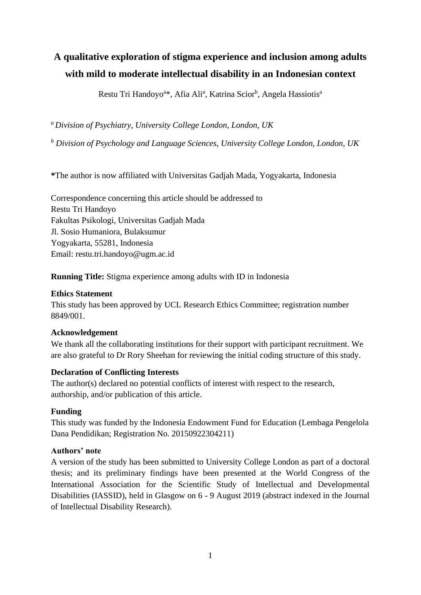# **A qualitative exploration of stigma experience and inclusion among adults with mild to moderate intellectual disability in an Indonesian context**

Restu Tri Handoyo<sup>a</sup>\*, Afia Ali<sup>a</sup>, Katrina Scior<sup>b</sup>, Angela Hassiotis<sup>a</sup>

*<sup>a</sup>Division of Psychiatry, University College London, London, UK*

*<sup>b</sup> Division of Psychology and Language Sciences, University College London, London, UK*

**\***The author is now affiliated with Universitas Gadjah Mada, Yogyakarta, Indonesia

Correspondence concerning this article should be addressed to Restu Tri Handoyo Fakultas Psikologi, Universitas Gadjah Mada Jl. Sosio Humaniora, Bulaksumur Yogyakarta, 55281, Indonesia Email: restu.tri.handoyo@ugm.ac.id

**Running Title:** Stigma experience among adults with ID in Indonesia

# **Ethics Statement**

This study has been approved by UCL Research Ethics Committee; registration number 8849/001.

## **Acknowledgement**

We thank all the collaborating institutions for their support with participant recruitment. We are also grateful to Dr Rory Sheehan for reviewing the initial coding structure of this study.

# **Declaration of Conflicting Interests**

The author(s) declared no potential conflicts of interest with respect to the research, authorship, and/or publication of this article.

# **Funding**

This study was funded by the Indonesia Endowment Fund for Education (Lembaga Pengelola Dana Pendidikan; Registration No. 20150922304211)

## **Authors' note**

A version of the study has been submitted to University College London as part of a doctoral thesis; and its preliminary findings have been presented at the World Congress of the International Association for the Scientific Study of Intellectual and Developmental Disabilities (IASSID), held in Glasgow on 6 - 9 August 2019 (abstract indexed in the Journal of Intellectual Disability Research).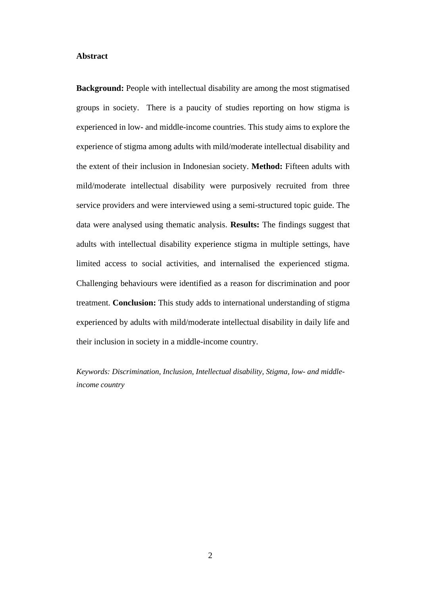#### **Abstract**

**Background:** People with intellectual disability are among the most stigmatised groups in society. There is a paucity of studies reporting on how stigma is experienced in low- and middle-income countries. This study aims to explore the experience of stigma among adults with mild/moderate intellectual disability and the extent of their inclusion in Indonesian society. **Method:** Fifteen adults with mild/moderate intellectual disability were purposively recruited from three service providers and were interviewed using a semi-structured topic guide. The data were analysed using thematic analysis. **Results:** The findings suggest that adults with intellectual disability experience stigma in multiple settings, have limited access to social activities, and internalised the experienced stigma. Challenging behaviours were identified as a reason for discrimination and poor treatment. **Conclusion:** This study adds to international understanding of stigma experienced by adults with mild/moderate intellectual disability in daily life and their inclusion in society in a middle-income country.

*Keywords: Discrimination, Inclusion, Intellectual disability, Stigma, low- and middleincome country*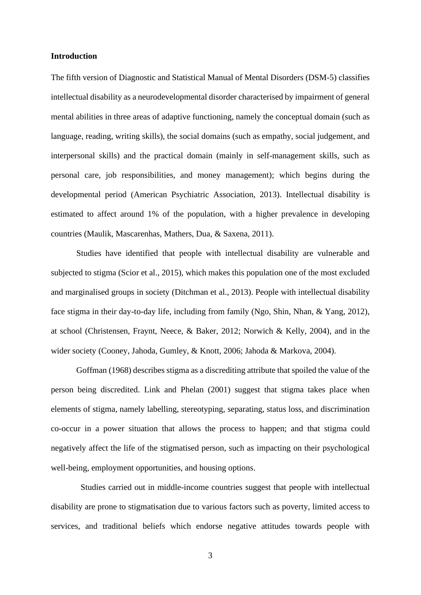#### **Introduction**

The fifth version of Diagnostic and Statistical Manual of Mental Disorders (DSM-5) classifies intellectual disability as a neurodevelopmental disorder characterised by impairment of general mental abilities in three areas of adaptive functioning, namely the conceptual domain (such as language, reading, writing skills), the social domains (such as empathy, social judgement, and interpersonal skills) and the practical domain (mainly in self-management skills, such as personal care, job responsibilities, and money management); which begins during the developmental period (American Psychiatric Association, 2013). Intellectual disability is estimated to affect around 1% of the population, with a higher prevalence in developing countries (Maulik, Mascarenhas, Mathers, Dua, & Saxena, 2011).

Studies have identified that people with intellectual disability are vulnerable and subjected to stigma (Scior et al., 2015), which makes this population one of the most excluded and marginalised groups in society (Ditchman et al., 2013). People with intellectual disability face stigma in their day-to-day life, including from family (Ngo, Shin, Nhan, & Yang, 2012), at school (Christensen, Fraynt, Neece, & Baker, 2012; Norwich & Kelly, 2004), and in the wider society (Cooney, Jahoda, Gumley, & Knott, 2006; Jahoda & Markova, 2004).

Goffman (1968) describes stigma as a discrediting attribute that spoiled the value of the person being discredited. Link and Phelan (2001) suggest that stigma takes place when elements of stigma, namely labelling, stereotyping, separating, status loss, and discrimination co-occur in a power situation that allows the process to happen; and that stigma could negatively affect the life of the stigmatised person, such as impacting on their psychological well-being, employment opportunities, and housing options.

 Studies carried out in middle-income countries suggest that people with intellectual disability are prone to stigmatisation due to various factors such as poverty, limited access to services, and traditional beliefs which endorse negative attitudes towards people with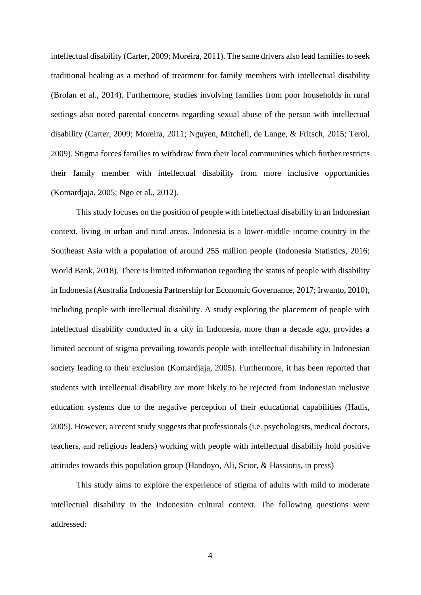intellectual disability (Carter, 2009; Moreira, 2011). The same drivers also lead families to seek traditional healing as a method of treatment for family members with intellectual disability (Brolan et al., 2014). Furthermore, studies involving families from poor households in rural settings also noted parental concerns regarding sexual abuse of the person with intellectual disability (Carter, 2009; Moreira, 2011; Nguyen, Mitchell, de Lange, & Fritsch, 2015; Terol, 2009). Stigma forces families to withdraw from their local communities which further restricts their family member with intellectual disability from more inclusive opportunities (Komardjaja, 2005; Ngo et al., 2012).

This study focuses on the position of people with intellectual disability in an Indonesian context, living in urban and rural areas. Indonesia is a lower-middle income country in the Southeast Asia with a population of around 255 million people (Indonesia Statistics, 2016; World Bank, 2018). There is limited information regarding the status of people with disability in Indonesia (Australia Indonesia Partnership for Economic Governance, 2017; Irwanto, 2010), including people with intellectual disability. A study exploring the placement of people with intellectual disability conducted in a city in Indonesia, more than a decade ago, provides a limited account of stigma prevailing towards people with intellectual disability in Indonesian society leading to their exclusion (Komardjaja, 2005). Furthermore, it has been reported that students with intellectual disability are more likely to be rejected from Indonesian inclusive education systems due to the negative perception of their educational capabilities (Hadis, 2005). However, a recent study suggests that professionals (i.e. psychologists, medical doctors, teachers, and religious leaders) working with people with intellectual disability hold positive attitudes towards this population group (Handoyo, Ali, Scior, & Hassiotis, in press)

This study aims to explore the experience of stigma of adults with mild to moderate intellectual disability in the Indonesian cultural context. The following questions were addressed: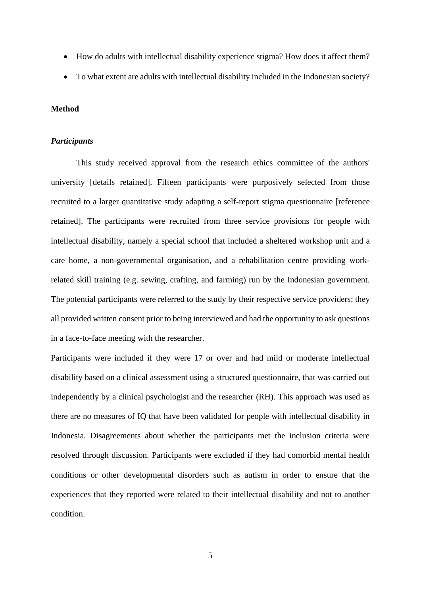- How do adults with intellectual disability experience stigma? How does it affect them?
- To what extent are adults with intellectual disability included in the Indonesian society?

#### **Method**

#### *Participants*

This study received approval from the research ethics committee of the authors' university [details retained]. Fifteen participants were purposively selected from those recruited to a larger quantitative study adapting a self-report stigma questionnaire [reference retained]. The participants were recruited from three service provisions for people with intellectual disability, namely a special school that included a sheltered workshop unit and a care home, a non-governmental organisation, and a rehabilitation centre providing workrelated skill training (e.g. sewing, crafting, and farming) run by the Indonesian government. The potential participants were referred to the study by their respective service providers; they all provided written consent prior to being interviewed and had the opportunity to ask questions in a face-to-face meeting with the researcher.

Participants were included if they were 17 or over and had mild or moderate intellectual disability based on a clinical assessment using a structured questionnaire, that was carried out independently by a clinical psychologist and the researcher (RH). This approach was used as there are no measures of IQ that have been validated for people with intellectual disability in Indonesia. Disagreements about whether the participants met the inclusion criteria were resolved through discussion. Participants were excluded if they had comorbid mental health conditions or other developmental disorders such as autism in order to ensure that the experiences that they reported were related to their intellectual disability and not to another condition.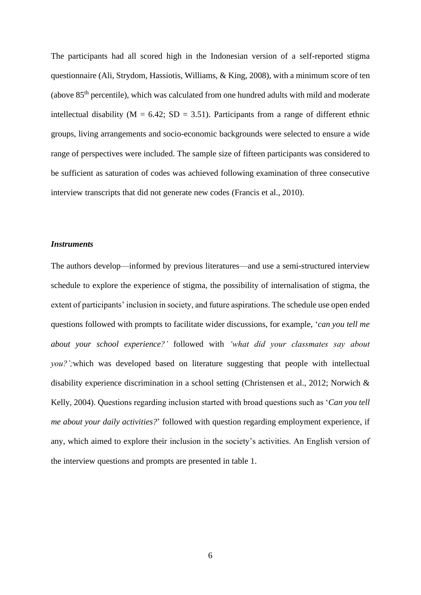The participants had all scored high in the Indonesian version of a self-reported stigma questionnaire (Ali, Strydom, Hassiotis, Williams, & King, 2008), with a minimum score of ten (above  $85<sup>th</sup>$  percentile), which was calculated from one hundred adults with mild and moderate intellectual disability ( $M = 6.42$ ; SD = 3.51). Participants from a range of different ethnic groups, living arrangements and socio-economic backgrounds were selected to ensure a wide range of perspectives were included. The sample size of fifteen participants was considered to be sufficient as saturation of codes was achieved following examination of three consecutive interview transcripts that did not generate new codes (Francis et al., 2010).

#### *Instruments*

The authors develop—informed by previous literatures—and use a semi-structured interview schedule to explore the experience of stigma, the possibility of internalisation of stigma, the extent of participants' inclusion in society, and future aspirations. The schedule use open ended questions followed with prompts to facilitate wider discussions, for example, '*can you tell me about your school experience?'* followed with *'what did your classmates say about you?';*which was developed based on literature suggesting that people with intellectual disability experience discrimination in a school setting (Christensen et al., 2012; Norwich & Kelly, 2004). Questions regarding inclusion started with broad questions such as '*Can you tell me about your daily activities?*' followed with question regarding employment experience, if any, which aimed to explore their inclusion in the society's activities. An English version of the interview questions and prompts are presented in table 1.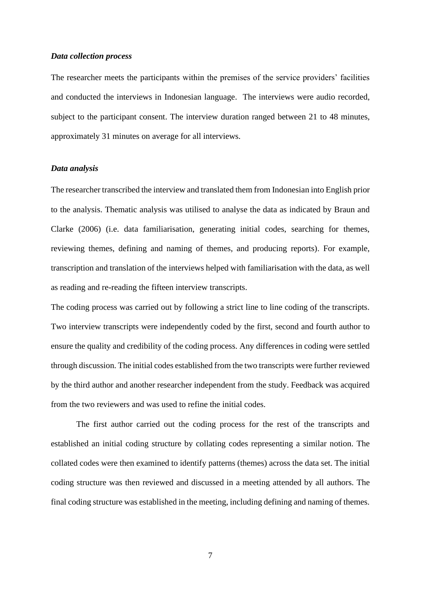#### *Data collection process*

The researcher meets the participants within the premises of the service providers' facilities and conducted the interviews in Indonesian language. The interviews were audio recorded, subject to the participant consent. The interview duration ranged between 21 to 48 minutes, approximately 31 minutes on average for all interviews.

#### *Data analysis*

The researcher transcribed the interview and translated them from Indonesian into English prior to the analysis. Thematic analysis was utilised to analyse the data as indicated by Braun and Clarke (2006) (i.e. data familiarisation, generating initial codes, searching for themes, reviewing themes, defining and naming of themes, and producing reports). For example, transcription and translation of the interviews helped with familiarisation with the data, as well as reading and re-reading the fifteen interview transcripts.

The coding process was carried out by following a strict line to line coding of the transcripts. Two interview transcripts were independently coded by the first, second and fourth author to ensure the quality and credibility of the coding process. Any differences in coding were settled through discussion. The initial codes established from the two transcripts were further reviewed by the third author and another researcher independent from the study. Feedback was acquired from the two reviewers and was used to refine the initial codes.

The first author carried out the coding process for the rest of the transcripts and established an initial coding structure by collating codes representing a similar notion. The collated codes were then examined to identify patterns (themes) across the data set. The initial coding structure was then reviewed and discussed in a meeting attended by all authors. The final coding structure was established in the meeting, including defining and naming of themes.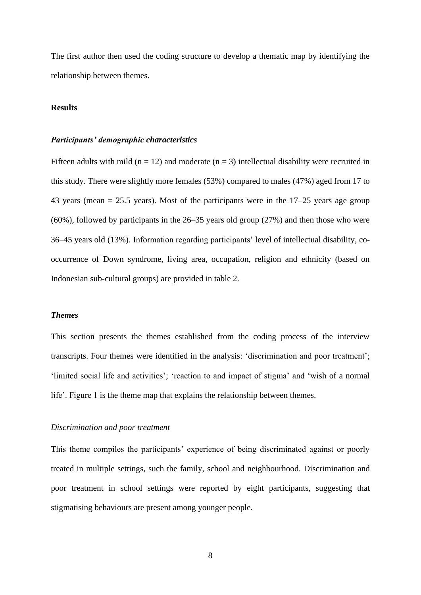The first author then used the coding structure to develop a thematic map by identifying the relationship between themes.

## **Results**

#### *Participants' demographic characteristics*

Fifteen adults with mild ( $n = 12$ ) and moderate ( $n = 3$ ) intellectual disability were recruited in this study. There were slightly more females (53%) compared to males (47%) aged from 17 to 43 years (mean  $= 25.5$  years). Most of the participants were in the  $17-25$  years age group (60%), followed by participants in the 26–35 years old group (27%) and then those who were 36–45 years old (13%). Information regarding participants' level of intellectual disability, cooccurrence of Down syndrome, living area, occupation, religion and ethnicity (based on Indonesian sub-cultural groups) are provided in table 2.

#### *Themes*

This section presents the themes established from the coding process of the interview transcripts. Four themes were identified in the analysis: 'discrimination and poor treatment'; 'limited social life and activities'; 'reaction to and impact of stigma' and 'wish of a normal life'. Figure 1 is the theme map that explains the relationship between themes.

#### *Discrimination and poor treatment*

This theme compiles the participants' experience of being discriminated against or poorly treated in multiple settings, such the family, school and neighbourhood. Discrimination and poor treatment in school settings were reported by eight participants, suggesting that stigmatising behaviours are present among younger people.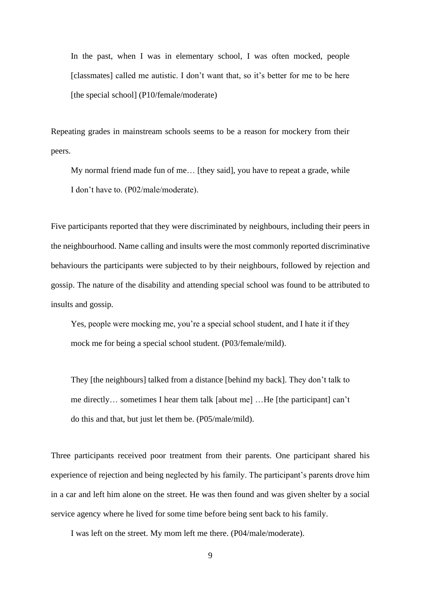In the past, when I was in elementary school, I was often mocked, people [classmates] called me autistic. I don't want that, so it's better for me to be here [the special school] (P10/female/moderate)

Repeating grades in mainstream schools seems to be a reason for mockery from their peers.

My normal friend made fun of me… [they said], you have to repeat a grade, while I don't have to. (P02/male/moderate).

Five participants reported that they were discriminated by neighbours, including their peers in the neighbourhood. Name calling and insults were the most commonly reported discriminative behaviours the participants were subjected to by their neighbours, followed by rejection and gossip. The nature of the disability and attending special school was found to be attributed to insults and gossip.

Yes, people were mocking me, you're a special school student, and I hate it if they mock me for being a special school student. (P03/female/mild).

They [the neighbours] talked from a distance [behind my back]. They don't talk to me directly… sometimes I hear them talk [about me] …He [the participant] can't do this and that, but just let them be. (P05/male/mild).

Three participants received poor treatment from their parents. One participant shared his experience of rejection and being neglected by his family. The participant's parents drove him in a car and left him alone on the street. He was then found and was given shelter by a social service agency where he lived for some time before being sent back to his family.

I was left on the street. My mom left me there. (P04/male/moderate).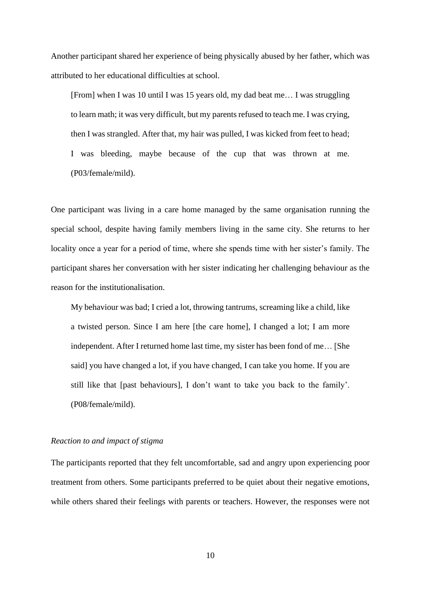Another participant shared her experience of being physically abused by her father, which was attributed to her educational difficulties at school.

[From] when I was 10 until I was 15 years old, my dad beat me… I was struggling to learn math; it was very difficult, but my parents refused to teach me. I was crying, then I was strangled. After that, my hair was pulled, I was kicked from feet to head; I was bleeding, maybe because of the cup that was thrown at me. (P03/female/mild).

One participant was living in a care home managed by the same organisation running the special school, despite having family members living in the same city. She returns to her locality once a year for a period of time, where she spends time with her sister's family. The participant shares her conversation with her sister indicating her challenging behaviour as the reason for the institutionalisation.

My behaviour was bad; I cried a lot, throwing tantrums, screaming like a child, like a twisted person. Since I am here [the care home], I changed a lot; I am more independent. After I returned home last time, my sister has been fond of me… [She said] you have changed a lot, if you have changed, I can take you home. If you are still like that [past behaviours], I don't want to take you back to the family'. (P08/female/mild).

## *Reaction to and impact of stigma*

The participants reported that they felt uncomfortable, sad and angry upon experiencing poor treatment from others. Some participants preferred to be quiet about their negative emotions, while others shared their feelings with parents or teachers. However, the responses were not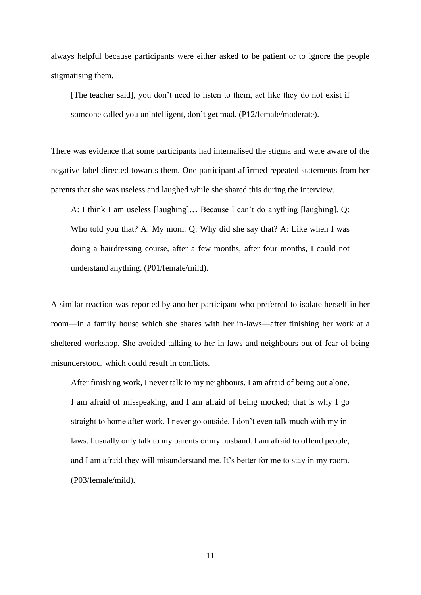always helpful because participants were either asked to be patient or to ignore the people stigmatising them.

[The teacher said], you don't need to listen to them, act like they do not exist if someone called you unintelligent, don't get mad. (P12/female/moderate).

There was evidence that some participants had internalised the stigma and were aware of the negative label directed towards them. One participant affirmed repeated statements from her parents that she was useless and laughed while she shared this during the interview.

A: I think I am useless [laughing]**…** Because I can't do anything [laughing]. Q: Who told you that? A: My mom. Q: Why did she say that? A: Like when I was doing a hairdressing course, after a few months, after four months, I could not understand anything. (P01/female/mild).

A similar reaction was reported by another participant who preferred to isolate herself in her room—in a family house which she shares with her in-laws—after finishing her work at a sheltered workshop. She avoided talking to her in-laws and neighbours out of fear of being misunderstood, which could result in conflicts.

After finishing work, I never talk to my neighbours. I am afraid of being out alone. I am afraid of misspeaking, and I am afraid of being mocked; that is why I go straight to home after work. I never go outside. I don't even talk much with my inlaws. I usually only talk to my parents or my husband. I am afraid to offend people, and I am afraid they will misunderstand me. It's better for me to stay in my room. (P03/female/mild).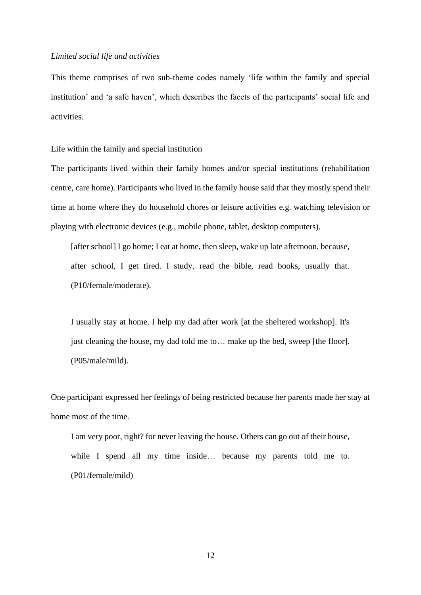#### *Limited social life and activities*

This theme comprises of two sub-theme codes namely 'life within the family and special institution' and 'a safe haven', which describes the facets of the participants' social life and activities.

Life within the family and special institution

The participants lived within their family homes and/or special institutions (rehabilitation centre, care home). Participants who lived in the family house said that they mostly spend their time at home where they do household chores or leisure activities e.g. watching television or playing with electronic devices (e.g., mobile phone, tablet, desktop computers).

[after school] I go home; I eat at home, then sleep, wake up late afternoon, because, after school, I get tired. I study, read the bible, read books, usually that. (P10/female/moderate).

I usually stay at home. I help my dad after work [at the sheltered workshop]. It's just cleaning the house, my dad told me to… make up the bed, sweep [the floor]. (P05/male/mild).

One participant expressed her feelings of being restricted because her parents made her stay at home most of the time.

I am very poor, right? for never leaving the house. Others can go out of their house, while I spend all my time inside… because my parents told me to. (P01/female/mild)

12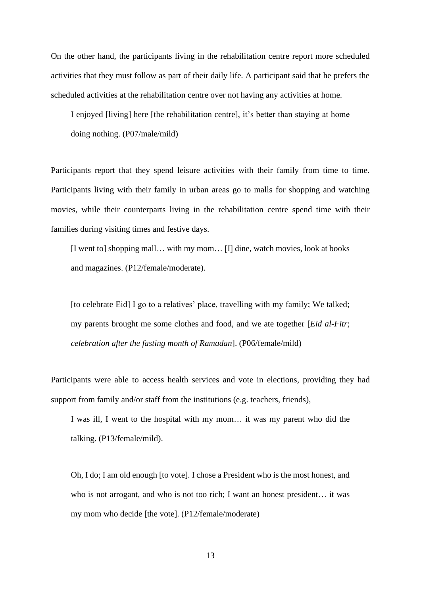On the other hand, the participants living in the rehabilitation centre report more scheduled activities that they must follow as part of their daily life. A participant said that he prefers the scheduled activities at the rehabilitation centre over not having any activities at home.

I enjoyed [living] here [the rehabilitation centre], it's better than staying at home doing nothing. (P07/male/mild)

Participants report that they spend leisure activities with their family from time to time. Participants living with their family in urban areas go to malls for shopping and watching movies, while their counterparts living in the rehabilitation centre spend time with their families during visiting times and festive days.

[I went to] shopping mall… with my mom… [I] dine, watch movies, look at books and magazines. (P12/female/moderate).

[to celebrate Eid] I go to a relatives' place, travelling with my family; We talked; my parents brought me some clothes and food, and we ate together [*Eid al-Fitr*; *celebration after the fasting month of Ramadan*]. (P06/female/mild)

Participants were able to access health services and vote in elections, providing they had support from family and/or staff from the institutions (e.g. teachers, friends),

I was ill, I went to the hospital with my mom… it was my parent who did the talking. (P13/female/mild).

Oh, I do; I am old enough [to vote]. I chose a President who is the most honest, and who is not arrogant, and who is not too rich; I want an honest president… it was my mom who decide [the vote]. (P12/female/moderate)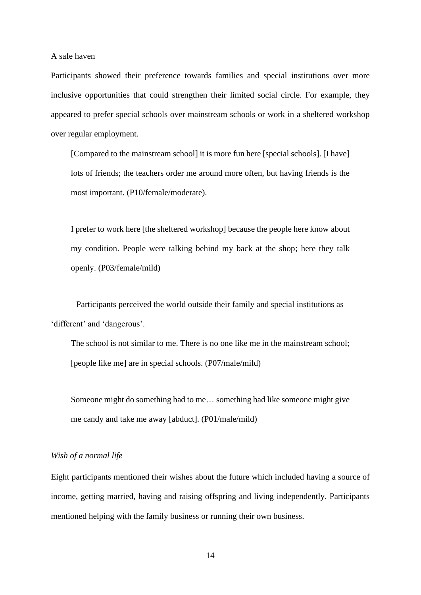A safe haven

Participants showed their preference towards families and special institutions over more inclusive opportunities that could strengthen their limited social circle. For example, they appeared to prefer special schools over mainstream schools or work in a sheltered workshop over regular employment.

[Compared to the mainstream school] it is more fun here [special schools]. [I have] lots of friends; the teachers order me around more often, but having friends is the most important. (P10/female/moderate).

I prefer to work here [the sheltered workshop] because the people here know about my condition. People were talking behind my back at the shop; here they talk openly. (P03/female/mild)

Participants perceived the world outside their family and special institutions as 'different' and 'dangerous'.

The school is not similar to me. There is no one like me in the mainstream school; [people like me] are in special schools. (P07/male/mild)

Someone might do something bad to me… something bad like someone might give me candy and take me away [abduct]. (P01/male/mild)

#### *Wish of a normal life*

Eight participants mentioned their wishes about the future which included having a source of income, getting married, having and raising offspring and living independently. Participants mentioned helping with the family business or running their own business.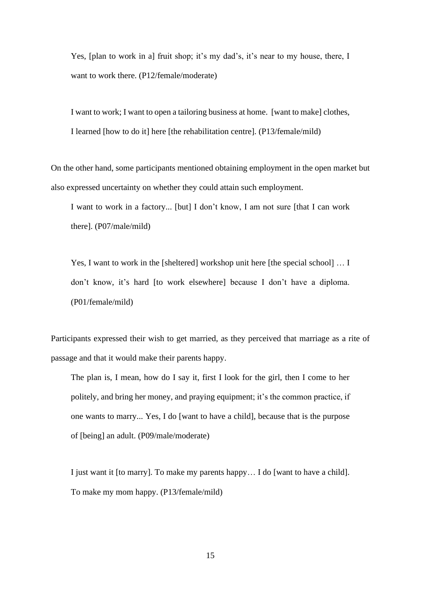Yes, [plan to work in a] fruit shop; it's my dad's, it's near to my house, there, I want to work there. (P12/female/moderate)

I want to work; I want to open a tailoring business at home. [want to make] clothes, I learned [how to do it] here [the rehabilitation centre]. (P13/female/mild)

On the other hand, some participants mentioned obtaining employment in the open market but also expressed uncertainty on whether they could attain such employment.

I want to work in a factory... [but] I don't know, I am not sure [that I can work there]. (P07/male/mild)

Yes, I want to work in the [sheltered] workshop unit here [the special school] … I don't know, it's hard [to work elsewhere] because I don't have a diploma. (P01/female/mild)

Participants expressed their wish to get married, as they perceived that marriage as a rite of passage and that it would make their parents happy.

The plan is, I mean, how do I say it, first I look for the girl, then I come to her politely, and bring her money, and praying equipment; it's the common practice, if one wants to marry... Yes, I do [want to have a child], because that is the purpose of [being] an adult. (P09/male/moderate)

I just want it [to marry]. To make my parents happy… I do [want to have a child]. To make my mom happy. (P13/female/mild)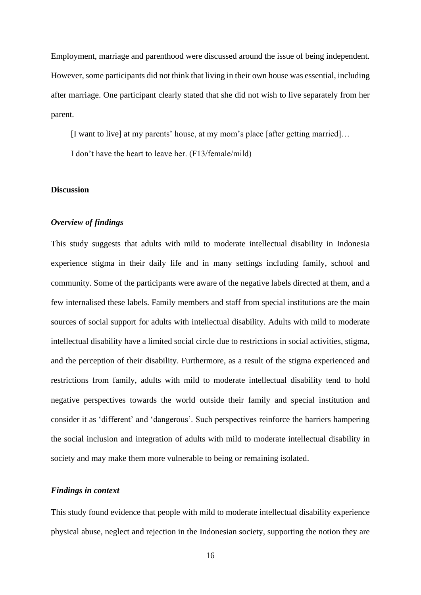Employment, marriage and parenthood were discussed around the issue of being independent. However, some participants did not think that living in their own house was essential, including after marriage. One participant clearly stated that she did not wish to live separately from her parent.

[I want to live] at my parents' house, at my mom's place [after getting married]…

I don't have the heart to leave her. (F13/female/mild)

## **Discussion**

#### *Overview of findings*

This study suggests that adults with mild to moderate intellectual disability in Indonesia experience stigma in their daily life and in many settings including family, school and community. Some of the participants were aware of the negative labels directed at them, and a few internalised these labels. Family members and staff from special institutions are the main sources of social support for adults with intellectual disability. Adults with mild to moderate intellectual disability have a limited social circle due to restrictions in social activities, stigma, and the perception of their disability. Furthermore, as a result of the stigma experienced and restrictions from family, adults with mild to moderate intellectual disability tend to hold negative perspectives towards the world outside their family and special institution and consider it as 'different' and 'dangerous'. Such perspectives reinforce the barriers hampering the social inclusion and integration of adults with mild to moderate intellectual disability in society and may make them more vulnerable to being or remaining isolated.

#### *Findings in context*

This study found evidence that people with mild to moderate intellectual disability experience physical abuse, neglect and rejection in the Indonesian society, supporting the notion they are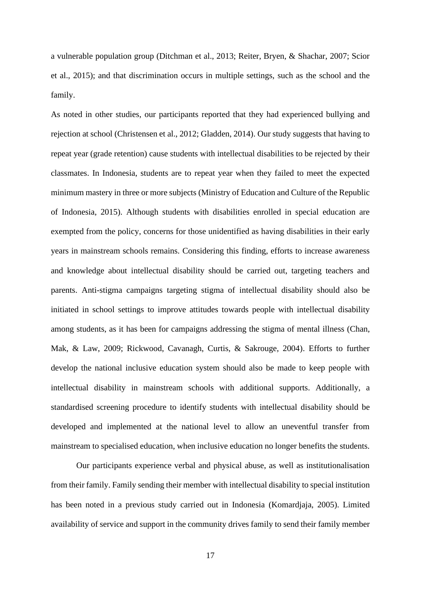a vulnerable population group (Ditchman et al., 2013; Reiter, Bryen, & Shachar, 2007; Scior et al., 2015); and that discrimination occurs in multiple settings, such as the school and the family.

As noted in other studies, our participants reported that they had experienced bullying and rejection at school (Christensen et al., 2012; Gladden, 2014). Our study suggests that having to repeat year (grade retention) cause students with intellectual disabilities to be rejected by their classmates. In Indonesia, students are to repeat year when they failed to meet the expected minimum mastery in three or more subjects (Ministry of Education and Culture of the Republic of Indonesia, 2015). Although students with disabilities enrolled in special education are exempted from the policy, concerns for those unidentified as having disabilities in their early years in mainstream schools remains. Considering this finding, efforts to increase awareness and knowledge about intellectual disability should be carried out, targeting teachers and parents. Anti-stigma campaigns targeting stigma of intellectual disability should also be initiated in school settings to improve attitudes towards people with intellectual disability among students, as it has been for campaigns addressing the stigma of mental illness (Chan, Mak, & Law, 2009; Rickwood, Cavanagh, Curtis, & Sakrouge, 2004). Efforts to further develop the national inclusive education system should also be made to keep people with intellectual disability in mainstream schools with additional supports. Additionally, a standardised screening procedure to identify students with intellectual disability should be developed and implemented at the national level to allow an uneventful transfer from mainstream to specialised education, when inclusive education no longer benefits the students.

Our participants experience verbal and physical abuse, as well as institutionalisation from their family. Family sending their member with intellectual disability to special institution has been noted in a previous study carried out in Indonesia (Komardjaja, 2005). Limited availability of service and support in the community drives family to send their family member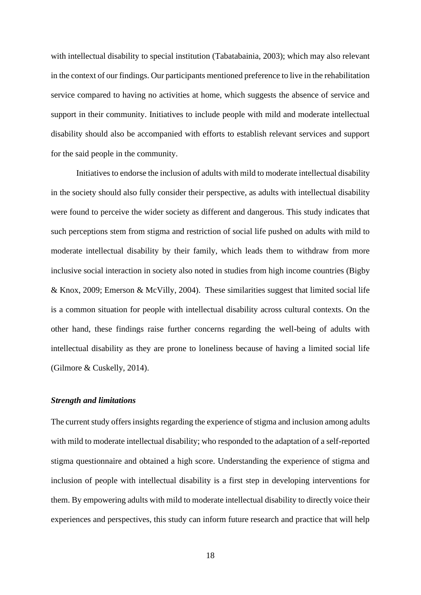with intellectual disability to special institution (Tabatabainia, 2003); which may also relevant in the context of our findings. Our participants mentioned preference to live in the rehabilitation service compared to having no activities at home, which suggests the absence of service and support in their community. Initiatives to include people with mild and moderate intellectual disability should also be accompanied with efforts to establish relevant services and support for the said people in the community.

Initiatives to endorse the inclusion of adults with mild to moderate intellectual disability in the society should also fully consider their perspective, as adults with intellectual disability were found to perceive the wider society as different and dangerous. This study indicates that such perceptions stem from stigma and restriction of social life pushed on adults with mild to moderate intellectual disability by their family, which leads them to withdraw from more inclusive social interaction in society also noted in studies from high income countries (Bigby & Knox, 2009; Emerson & McVilly, 2004). These similarities suggest that limited social life is a common situation for people with intellectual disability across cultural contexts. On the other hand, these findings raise further concerns regarding the well-being of adults with intellectual disability as they are prone to loneliness because of having a limited social life (Gilmore & Cuskelly, 2014).

#### *Strength and limitations*

The current study offers insights regarding the experience of stigma and inclusion among adults with mild to moderate intellectual disability; who responded to the adaptation of a self-reported stigma questionnaire and obtained a high score. Understanding the experience of stigma and inclusion of people with intellectual disability is a first step in developing interventions for them. By empowering adults with mild to moderate intellectual disability to directly voice their experiences and perspectives, this study can inform future research and practice that will help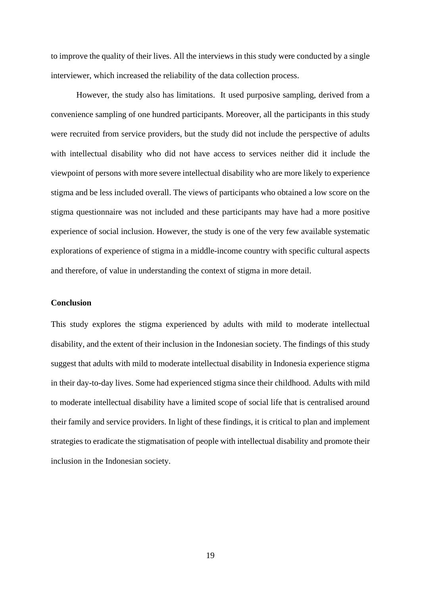to improve the quality of their lives. All the interviews in this study were conducted by a single interviewer, which increased the reliability of the data collection process.

However, the study also has limitations. It used purposive sampling, derived from a convenience sampling of one hundred participants. Moreover, all the participants in this study were recruited from service providers, but the study did not include the perspective of adults with intellectual disability who did not have access to services neither did it include the viewpoint of persons with more severe intellectual disability who are more likely to experience stigma and be less included overall. The views of participants who obtained a low score on the stigma questionnaire was not included and these participants may have had a more positive experience of social inclusion. However, the study is one of the very few available systematic explorations of experience of stigma in a middle-income country with specific cultural aspects and therefore, of value in understanding the context of stigma in more detail.

#### **Conclusion**

This study explores the stigma experienced by adults with mild to moderate intellectual disability, and the extent of their inclusion in the Indonesian society. The findings of this study suggest that adults with mild to moderate intellectual disability in Indonesia experience stigma in their day-to-day lives. Some had experienced stigma since their childhood. Adults with mild to moderate intellectual disability have a limited scope of social life that is centralised around their family and service providers. In light of these findings, it is critical to plan and implement strategies to eradicate the stigmatisation of people with intellectual disability and promote their inclusion in the Indonesian society.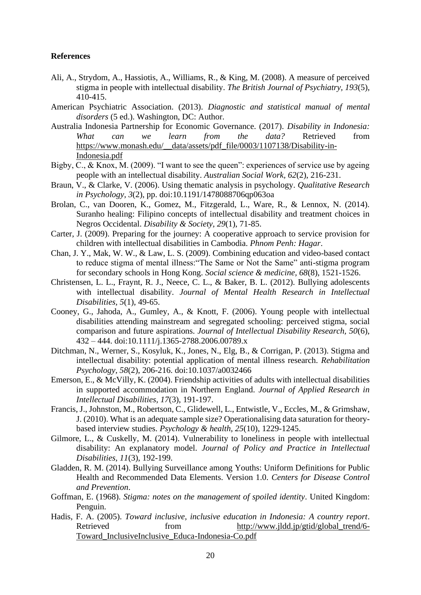### **References**

- Ali, A., Strydom, A., Hassiotis, A., Williams, R., & King, M. (2008). A measure of perceived stigma in people with intellectual disability. *The British Journal of Psychiatry, 193*(5), 410-415.
- American Psychiatric Association. (2013). *Diagnostic and statistical manual of mental disorders* (5 ed.). Washington, DC: Author.
- Australia Indonesia Partnership for Economic Governance. (2017). *Disability in Indonesia: What can we learn from the data?* Retrieved from [https://www.monash.edu/\\_\\_data/assets/pdf\\_file/0003/1107138/Disability-in-](https://www.monash.edu/__data/assets/pdf_file/0003/1107138/Disability-in-Indonesia.pdf)[Indonesia.pdf](https://www.monash.edu/__data/assets/pdf_file/0003/1107138/Disability-in-Indonesia.pdf)
- Bigby, C., & Knox, M. (2009). "I want to see the queen": experiences of service use by ageing people with an intellectual disability. *Australian Social Work, 62*(2), 216-231.
- Braun, V., & Clarke, V. (2006). Using thematic analysis in psychology. *Qualitative Research in Psychology, 3*(2), pp. doi:10.1191/1478088706qp063oa
- Brolan, C., van Dooren, K., Gomez, M., Fitzgerald, L., Ware, R., & Lennox, N. (2014). Suranho healing: Filipino concepts of intellectual disability and treatment choices in Negros Occidental. *Disability & Society, 29*(1), 71-85.
- Carter, J. (2009). Preparing for the journey: A cooperative approach to service provision for children with intellectual disabilities in Cambodia. *Phnom Penh: Hagar*.
- Chan, J. Y., Mak, W. W., & Law, L. S. (2009). Combining education and video-based contact to reduce stigma of mental illness:"The Same or Not the Same" anti-stigma program for secondary schools in Hong Kong. *Social science & medicine, 68*(8), 1521-1526.
- Christensen, L. L., Fraynt, R. J., Neece, C. L., & Baker, B. L. (2012). Bullying adolescents with intellectual disability. *Journal of Mental Health Research in Intellectual Disabilities, 5*(1), 49-65.
- Cooney, G., Jahoda, A., Gumley, A., & Knott, F. (2006). Young people with intellectual disabilities attending mainstream and segregated schooling: perceived stigma, social comparison and future aspirations. *Journal of Intellectual Disability Research, 50*(6), 432 – 444. doi:10.1111/j.1365-2788.2006.00789.x
- Ditchman, N., Werner, S., Kosyluk, K., Jones, N., Elg, B., & Corrigan, P. (2013). Stigma and intellectual disability: potential application of mental illness research. *Rehabilitation Psychology, 58*(2), 206-216. doi:10.1037/a0032466
- Emerson, E., & McVilly, K. (2004). Friendship activities of adults with intellectual disabilities in supported accommodation in Northern England. *Journal of Applied Research in Intellectual Disabilities, 17*(3), 191-197.
- Francis, J., Johnston, M., Robertson, C., Glidewell, L., Entwistle, V., Eccles, M., & Grimshaw, J. (2010). What is an adequate sample size? Operationalising data saturation for theorybased interview studies. *Psychology & health, 25*(10), 1229-1245.
- Gilmore, L., & Cuskelly, M. (2014). Vulnerability to loneliness in people with intellectual disability: An explanatory model. *Journal of Policy and Practice in Intellectual Disabilities, 11*(3), 192-199.
- Gladden, R. M. (2014). Bullying Surveillance among Youths: Uniform Definitions for Public Health and Recommended Data Elements. Version 1.0. *Centers for Disease Control and Prevention*.
- Goffman, E. (1968). *Stigma: notes on the management of spoiled identity*. United Kingdom: Penguin.
- Hadis, F. A. (2005). *Toward inclusive, inclusive education in Indonesia: A country report*. Retrieved from [http://www.jldd.jp/gtid/global\\_trend/6-](http://www.jldd.jp/gtid/global_trend/6-Toward_InclusiveInclusive_Educa-Indonesia-Co.pdf) [Toward\\_InclusiveInclusive\\_Educa-Indonesia-Co.pdf](http://www.jldd.jp/gtid/global_trend/6-Toward_InclusiveInclusive_Educa-Indonesia-Co.pdf)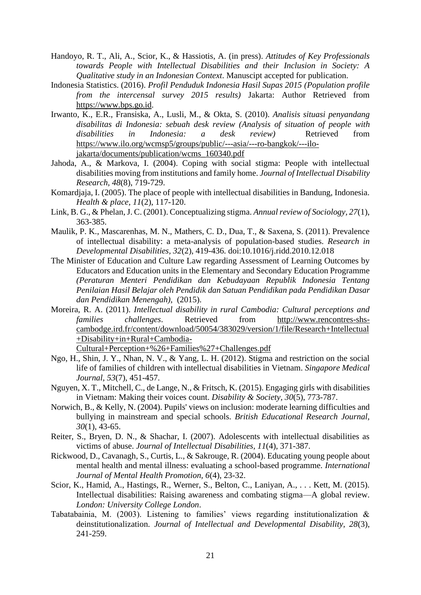- Handoyo, R. T., Ali, A., Scior, K., & Hassiotis, A. (in press). *Attitudes of Key Professionals towards People with Intellectual Disabilities and their Inclusion in Society: A Qualitative study in an Indonesian Context*. Manuscipt accepted for publication.
- Indonesia Statistics. (2016). *Profil Penduduk Indonesia Hasil Supas 2015 (Population profile from the intercensal survey 2015 results)* Jakarta: Author Retrieved from [https://www.bps.go.id.](https://www.bps.go.id/)
- Irwanto, K., E.R., Fransiska, A., Lusli, M., & Okta, S. (2010). *Analisis situasi penyandang disabilitas di Indonesia: sebuah desk review (Analysis of situation of people with disabilities in Indonesia: a desk review*) Retrieved from [https://www.ilo.org/wcmsp5/groups/public/---asia/---ro-bangkok/---ilo](https://www.ilo.org/wcmsp5/groups/public/---asia/---ro-bangkok/---ilo-jakarta/documents/publication/wcms_160340.pdf)[jakarta/documents/publication/wcms\\_160340.pdf](https://www.ilo.org/wcmsp5/groups/public/---asia/---ro-bangkok/---ilo-jakarta/documents/publication/wcms_160340.pdf)
- Jahoda, A., & Markova, I. (2004). Coping with social stigma: People with intellectual disabilities moving from institutions and family home. *Journal of Intellectual Disability Research, 48*(8), 719-729.
- Komardjaja, I. (2005). The place of people with intellectual disabilities in Bandung, Indonesia. *Health & place, 11*(2), 117-120.
- Link, B. G., & Phelan, J. C. (2001). Conceptualizing stigma. *Annual review of Sociology, 27*(1), 363-385.
- Maulik, P. K., Mascarenhas, M. N., Mathers, C. D., Dua, T., & Saxena, S. (2011). Prevalence of intellectual disability: a meta-analysis of population-based studies. *Research in Developmental Disabilities, 32*(2), 419-436. doi:10.1016/j.ridd.2010.12.018
- The Minister of Education and Culture Law regarding Assessment of Learning Outcomes by Educators and Education units in the Elementary and Secondary Education Programme *(Peraturan Menteri Pendidikan dan Kebudayaan Republik Indonesia Tentang Penilaian Hasil Belajar oleh Pendidik dan Satuan Pendidikan pada Pendidikan Dasar dan Pendidikan Menengah)*, (2015).
- Moreira, R. A. (2011). *Intellectual disability in rural Cambodia: Cultural perceptions and families challenges*. Retrieved from [http://www.rencontres-shs](http://www.rencontres-shs-cambodge.ird.fr/content/download/50054/383029/version/1/file/Research+Intellectual+Disability+in+Rural+Cambodia-Cultural+Perception+%26+Families%27+Challenges.pdf)[cambodge.ird.fr/content/download/50054/383029/version/1/file/Research+Intellectual](http://www.rencontres-shs-cambodge.ird.fr/content/download/50054/383029/version/1/file/Research+Intellectual+Disability+in+Rural+Cambodia-Cultural+Perception+%26+Families%27+Challenges.pdf) [+Disability+in+Rural+Cambodia-](http://www.rencontres-shs-cambodge.ird.fr/content/download/50054/383029/version/1/file/Research+Intellectual+Disability+in+Rural+Cambodia-Cultural+Perception+%26+Families%27+Challenges.pdf)[Cultural+Perception+%26+Families%27+Challenges.pdf](http://www.rencontres-shs-cambodge.ird.fr/content/download/50054/383029/version/1/file/Research+Intellectual+Disability+in+Rural+Cambodia-Cultural+Perception+%26+Families%27+Challenges.pdf)
- Ngo, H., Shin, J. Y., Nhan, N. V., & Yang, L. H. (2012). Stigma and restriction on the social life of families of children with intellectual disabilities in Vietnam. *Singapore Medical*
- *Journal, 53*(7), 451-457. Nguyen, X. T., Mitchell, C., de Lange, N., & Fritsch, K. (2015). Engaging girls with disabilities in Vietnam: Making their voices count. *Disability & Society, 30*(5), 773-787.
- Norwich, B., & Kelly, N. (2004). Pupils' views on inclusion: moderate learning difficulties and bullying in mainstream and special schools. *British Educational Research Journal, 30*(1), 43-65.
- Reiter, S., Bryen, D. N., & Shachar, I. (2007). Adolescents with intellectual disabilities as victims of abuse. *Journal of Intellectual Disabilities, 11*(4), 371-387.
- Rickwood, D., Cavanagh, S., Curtis, L., & Sakrouge, R. (2004). Educating young people about mental health and mental illness: evaluating a school-based programme. *International Journal of Mental Health Promotion, 6*(4), 23-32.
- Scior, K., Hamid, A., Hastings, R., Werner, S., Belton, C., Laniyan, A., . . . Kett, M. (2015). Intellectual disabilities: Raising awareness and combating stigma—A global review. *London: University College London*.
- Tabatabainia, M. (2003). Listening to families' views regarding institutionalization & deinstitutionalization. *Journal of Intellectual and Developmental Disability, 28*(3), 241-259.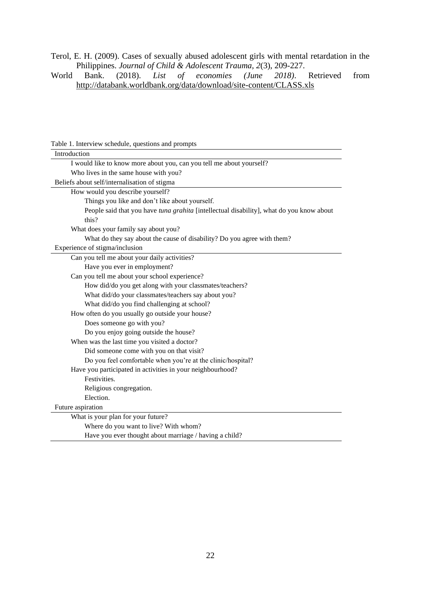Terol, E. H. (2009). Cases of sexually abused adolescent girls with mental retardation in the Philippines. *Journal of Child & Adolescent Trauma, 2*(3), 209-227.<br>World Bank. (2018). *List of economies (June 2018)*. Retrieved

(2018). List of economies (June 2018). Retrieved from <http://databank.worldbank.org/data/download/site-content/CLASS.xls>

| Lable 1. Thick view schedule, questions and prompts                                      |  |  |  |
|------------------------------------------------------------------------------------------|--|--|--|
| Introduction                                                                             |  |  |  |
| I would like to know more about you, can you tell me about yourself?                     |  |  |  |
| Who lives in the same house with you?                                                    |  |  |  |
| Beliefs about self/internalisation of stigma                                             |  |  |  |
| How would you describe yourself?                                                         |  |  |  |
| Things you like and don't like about yourself.                                           |  |  |  |
| People said that you have tuna grahita [intellectual disability], what do you know about |  |  |  |
| this?                                                                                    |  |  |  |
| What does your family say about you?                                                     |  |  |  |
| What do they say about the cause of disability? Do you agree with them?                  |  |  |  |
| Experience of stigma/inclusion                                                           |  |  |  |
| Can you tell me about your daily activities?                                             |  |  |  |
| Have you ever in employment?                                                             |  |  |  |
| Can you tell me about your school experience?                                            |  |  |  |
| How did/do you get along with your classmates/teachers?                                  |  |  |  |
| What did/do your classmates/teachers say about you?                                      |  |  |  |
| What did/do you find challenging at school?                                              |  |  |  |
| How often do you usually go outside your house?                                          |  |  |  |
| Does someone go with you?                                                                |  |  |  |
| Do you enjoy going outside the house?                                                    |  |  |  |
| When was the last time you visited a doctor?                                             |  |  |  |
| Did someone come with you on that visit?                                                 |  |  |  |
| Do you feel comfortable when you're at the clinic/hospital?                              |  |  |  |
| Have you participated in activities in your neighbourhood?                               |  |  |  |
| Festivities.                                                                             |  |  |  |
| Religious congregation.                                                                  |  |  |  |
| Election.                                                                                |  |  |  |
| Future aspiration                                                                        |  |  |  |
| What is your plan for your future?                                                       |  |  |  |
| Where do you want to live? With whom?                                                    |  |  |  |
| Have you ever thought about marriage / having a child?                                   |  |  |  |
|                                                                                          |  |  |  |

Table 1. Interview schedule, questions and prompts